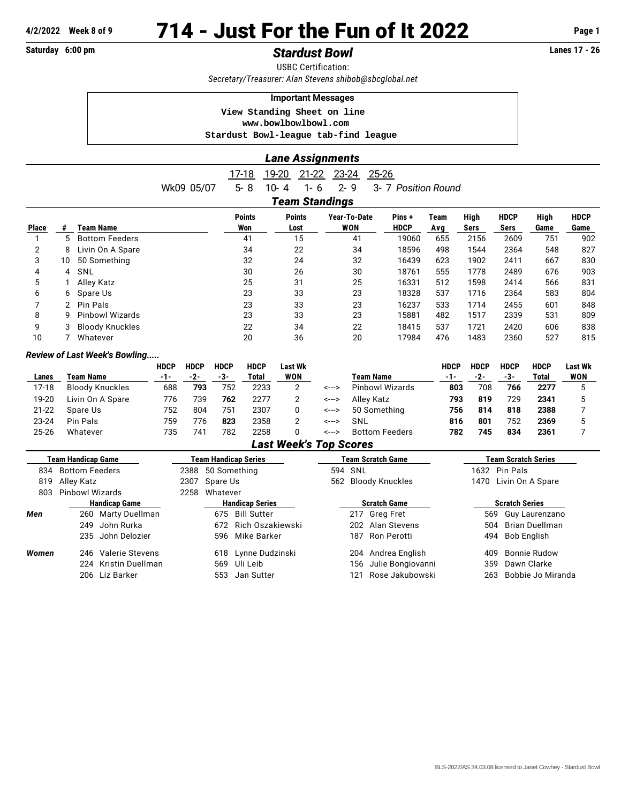# **Saturday 6:00 pm** *Stardust Bowl* **Lanes 17 - 26**

USBC Certification: *Secretary/Treasurer: Alan Stevens [shibob@sbcglobal.net](mailto:shibob@sbcglobal.net)*

#### **Important Messages**

 **View Standing Sheet on line <www.bowlbowlbowl.com>**

 **Stardust Bowl-league tab-find league**

|                       | <b>Lane Assignments</b> |                                      |                      |                                           |                                   |                      |             |              |                     |              |                     |  |  |
|-----------------------|-------------------------|--------------------------------------|----------------------|-------------------------------------------|-----------------------------------|----------------------|-------------|--------------|---------------------|--------------|---------------------|--|--|
|                       |                         | Wk09 05/07                           | 17-18<br>$5 - 8$     | 19-20<br>$21 - 22$<br>$10 - 4$<br>$1 - 6$ | $23 - 24$<br>$25 - 26$<br>$2 - 9$ | 3- 7 Position Round  |             |              |                     |              |                     |  |  |
| <b>Team Standings</b> |                         |                                      |                      |                                           |                                   |                      |             |              |                     |              |                     |  |  |
| <b>Place</b>          | #                       | Team Name                            | <b>Points</b><br>Won | <b>Points</b><br>Lost                     | Year-To-Date<br>WON               | Pins+<br><b>HDCP</b> | Team<br>Avg | High<br>Sers | <b>HDCP</b><br>Sers | High<br>Game | <b>HDCP</b><br>Game |  |  |
|                       | 5                       | <b>Bottom Feeders</b>                | 41                   | 15                                        | 41                                | 19060                | 655         | 2156         | 2609                | 751          | 902                 |  |  |
| 2                     | 8                       | Livin On A Spare                     | 34                   | 22                                        | 34                                | 18596                | 498         | 1544         | 2364                | 548          | 827                 |  |  |
| 3                     | 10                      | 50 Something                         | 32                   | 24                                        | 32                                | 16439                | 623         | 1902         | 2411                | 667          | 830                 |  |  |
| 4                     | 4                       | SNL                                  | 30                   | 26                                        | 30                                | 18761                | 555         | 1778         | 2489                | 676          | 903                 |  |  |
| 5                     |                         | Alley Katz                           | 25                   | 31                                        | 25                                | 16331                | 512         | 1598         | 2414                | 566          | 831                 |  |  |
| 6                     | 6                       | Spare Us                             | 23                   | 33                                        | 23                                | 18328                | 537         | 1716         | 2364                | 583          | 804                 |  |  |
| 7                     |                         | Pin Pals                             | 23                   | 33                                        | 23                                | 16237                | 533         | 1714         | 2455                | 601          | 848                 |  |  |
| 8                     | g                       | <b>Pinbowl Wizards</b>               | 23                   | 33                                        | 23                                | 15881                | 482         | 1517         | 2339                | 531          | 809                 |  |  |
| 9                     |                         | <b>Bloody Knuckles</b>               | 22                   | 34                                        | 22                                | 18415                | 537         | 1721         | 2420                | 606          | 838                 |  |  |
| 10                    |                         | Whatever                             | 20                   | 36                                        | 20                                | 17984                | 476         | 1483         | 2360                | 527          | 815                 |  |  |
|                       |                         | <b>Review of Last Week's Bowling</b> |                      |                                           |                                   |                      |             |              |                     |              |                     |  |  |

#### **HDCP HDCP HDCP HDCP Last Wk HDCP HDCP HDCP HDCP Last Wk Lanes Team Name -1- -2- -3- Total WON Team Name -1- -2- -3- Total WON** 17-18 Bloody Knuckles 688 **793** 752 2233 2 <---> Pinbowl Wizards **803** 708 **766 2277** 5 19-20 Livin On A Spare 776 739 **762** 2277 2 <---> Alley Katz **793 819** 729 **2341** 5 21-22 Spare Us 752 804 751 2307 0 <---> 50 Something **756 814 818 2388** 7 23-24 Pin Pals 759 776 **823** 2358 2 <---> SNL **816 801** 752 **2369** 5 25-26 Whatever 735 741 782 2258 0 <---> Bottom Feeders **782 745 834 2361** 7

### *Last Week's Top Scores*

|                              | Team Handicap Game   |      | <b>Team Handicap Series</b> | <b>Team Scratch Game</b> | <b>Team Scratch Series</b> |  |  |  |
|------------------------------|----------------------|------|-----------------------------|--------------------------|----------------------------|--|--|--|
| <b>Bottom Feeders</b><br>834 |                      |      | 2388 50 Something           | 594 SNL                  | 1632 Pin Pals              |  |  |  |
| Alley Katz<br>819            |                      | 2307 | Spare Us                    | 562 Bloody Knuckles      | Livin On A Spare<br>1470   |  |  |  |
| 803                          | Pinhowl Wizards      |      | Whatever<br>2258            |                          |                            |  |  |  |
|                              | <b>Handicap Game</b> |      | <b>Handicap Series</b>      | <b>Scratch Game</b>      | <b>Scratch Series</b>      |  |  |  |
| Men                          | 260 Marty Duellman   |      | Bill Sutter<br>675          | 217 Greg Fret            | Guy Laurenzano<br>569      |  |  |  |
|                              | John Rurka<br>249    |      | 672 Rich Oszakiewski        | 202 Alan Stevens         | Brian Duellman<br>504      |  |  |  |
|                              | 235 John Delozier    |      | 596 Mike Barker             | 187 Ron Perotti          | Bob English<br>494         |  |  |  |
| Women                        | 246 Valerie Stevens  |      | 618 Lynne Dudzinski         | Andrea English<br>204    | <b>Bonnie Rudow</b><br>409 |  |  |  |
|                              | 224 Kristin Duellman |      | Uli Leib<br>569             | Julie Bongiovanni<br>156 | Dawn Clarke<br>359         |  |  |  |
|                              | 206 Liz Barker       |      | Jan Sutter<br>553           | Rose Jakubowski<br>121   | Bobbie Jo Miranda<br>263   |  |  |  |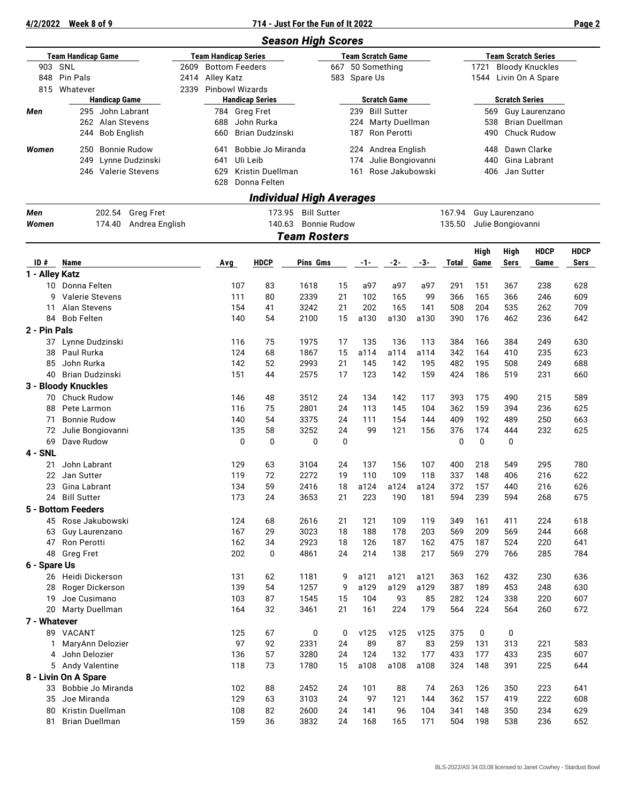## **4/2/2022 Week 8 of 9 714 - Just For the Fun of It 2022 Page 2**

|                           |                                           |                  |      |                        |                                                         |                                      | <b>Season High Scores</b> |                               |                     |                   |           |                   |                                |                       |                                      |             |  |  |
|---------------------------|-------------------------------------------|------------------|------|------------------------|---------------------------------------------------------|--------------------------------------|---------------------------|-------------------------------|---------------------|-------------------|-----------|-------------------|--------------------------------|-----------------------|--------------------------------------|-------------|--|--|
| <b>Team Handicap Game</b> |                                           |                  |      |                        | <b>Team Handicap Series</b><br><b>Team Scratch Game</b> |                                      |                           |                               |                     |                   |           |                   | <b>Team Scratch Series</b>     |                       |                                      |             |  |  |
| SNL<br>903<br>2609        |                                           |                  |      | <b>Bottom Feeders</b>  |                                                         |                                      |                           |                               |                     | 667 50 Something  |           |                   | <b>Bloody Knuckles</b><br>1721 |                       |                                      |             |  |  |
| 848                       | <b>Pin Pals</b>                           |                  | 2414 | Alley Katz             |                                                         |                                      |                           |                               | 583 Spare Us        |                   |           |                   |                                | 1544 Livin On A Spare |                                      |             |  |  |
| 815                       | Whatever                                  |                  | 2339 | <b>Pinbowl Wizards</b> |                                                         |                                      |                           |                               |                     |                   |           |                   |                                |                       |                                      |             |  |  |
|                           | <b>Handicap Game</b>                      |                  |      |                        | <b>Handicap Series</b>                                  |                                      |                           | <b>Scratch Game</b>           |                     |                   |           |                   | <b>Scratch Series</b>          |                       |                                      |             |  |  |
| Men                       | 295 John Labrant                          |                  |      | 784 Greg Fret          |                                                         |                                      |                           |                               |                     | 239 Bill Sutter   |           |                   | 569                            |                       | Guy Laurenzano                       |             |  |  |
|                           | 262 Alan Stevens                          |                  |      | 688                    |                                                         | John Rurka<br><b>Brian Dudzinski</b> |                           |                               | 224 Marty Duellman  |                   |           |                   | 538                            |                       | <b>Brian Duellman</b><br>Chuck Rudow |             |  |  |
|                           | <b>Bob English</b><br>244                 |                  |      | 660                    |                                                         |                                      |                           |                               | 187                 | Ron Perotti       |           |                   | 490                            |                       |                                      |             |  |  |
| Women                     | <b>Bonnie Rudow</b><br>250                |                  |      | 641                    |                                                         | Bobbie Jo Miranda                    |                           |                               | 224                 | Andrea English    |           |                   | 448                            |                       | Dawn Clarke                          |             |  |  |
|                           | 249                                       | Lynne Dudzinski  |      | 641                    |                                                         | Uli Leib                             |                           |                               | 174                 | Julie Bongiovanni |           |                   | 440                            |                       | Gina Labrant                         |             |  |  |
|                           | 246 Valerie Stevens                       |                  |      | 629                    | <b>Kristin Duellman</b>                                 |                                      |                           |                               | 161 Rose Jakubowski |                   |           | Jan Sutter<br>406 |                                |                       |                                      |             |  |  |
|                           |                                           |                  |      | 628                    |                                                         | Donna Felten                         |                           |                               |                     |                   |           |                   |                                |                       |                                      |             |  |  |
|                           |                                           |                  |      |                        |                                                         | <b>Individual High Averages</b>      |                           |                               |                     |                   |           |                   |                                |                       |                                      |             |  |  |
| Men                       | 202.54                                    | <b>Greg Fret</b> |      |                        |                                                         | 173.95                               | <b>Bill Sutter</b>        |                               |                     |                   |           | 167.94            |                                | Guy Laurenzano        |                                      |             |  |  |
| Women                     | 174.40                                    | Andrea English   |      |                        |                                                         | 140.63                               |                           | <b>Bonnie Rudow</b><br>135.50 |                     |                   |           |                   |                                | Julie Bongiovanni     |                                      |             |  |  |
|                           |                                           |                  |      |                        |                                                         |                                      | <b>Team Rosters</b>       |                               |                     |                   |           |                   |                                |                       |                                      |             |  |  |
|                           |                                           |                  |      |                        |                                                         |                                      |                           |                               |                     |                   |           |                   | High                           | High                  | <b>HDCP</b>                          | <b>HDCP</b> |  |  |
| ID#                       | Name                                      |                  |      | Avg                    |                                                         | <b>HDCP</b>                          | Pins Gms                  |                               | -1-                 | $-2-$             | -3-       | Total             | Game                           | Sers                  | Game                                 | Sers        |  |  |
| 1 - Alley Katz            |                                           |                  |      |                        |                                                         |                                      |                           |                               |                     |                   |           |                   |                                |                       |                                      |             |  |  |
| 10                        | Donna Felten                              |                  |      |                        | 107                                                     | 83                                   | 1618                      | 15                            | a97                 | a97               | a97       | 291               | 151                            | 367                   | 238                                  | 628         |  |  |
| g                         | <b>Valerie Stevens</b>                    |                  |      |                        | 111                                                     | 80                                   | 2339                      | 21                            | 102                 | 165               | 99        | 366               | 165                            | 366                   | 246                                  | 609         |  |  |
| 11                        | Alan Stevens                              |                  |      |                        | 154                                                     | 41                                   | 3242                      | 21                            | 202                 | 165               | 141       | 508               | 204                            | 535                   | 262                                  | 709         |  |  |
| 84                        | <b>Bob Felten</b>                         |                  |      |                        | 140                                                     | 54                                   | 2100                      | 15                            | a130                | a130              | a130      | 390               | 176                            | 462                   | 236                                  | 642         |  |  |
| 2 - Pin Pals              |                                           |                  |      |                        |                                                         |                                      |                           |                               |                     |                   |           |                   |                                |                       |                                      |             |  |  |
|                           | 37 Lynne Dudzinski                        |                  |      |                        | 116                                                     | 75                                   | 1975                      | 17                            | 135                 | 136               | 113       | 384               | 166                            | 384                   | 249                                  | 630         |  |  |
| 38                        | Paul Rurka                                |                  |      |                        | 124                                                     | 68                                   | 1867                      | 15                            | a114                | a114              | a114      | 342               | 164                            | 410                   | 235                                  | 623         |  |  |
| 85                        | John Rurka                                |                  |      |                        | 142                                                     | 52                                   | 2993                      | 21                            | 145                 | 142               | 195       | 482               | 195                            | 508                   | 249                                  | 688         |  |  |
| Brian Dudzinski<br>40     |                                           |                  |      |                        | 151                                                     | 44                                   | 2575                      | 17                            | 123                 | 142               | 159       | 424               | 186                            | 519                   | 231                                  | 660         |  |  |
|                           | 3 - Bloody Knuckles                       |                  |      |                        |                                                         |                                      |                           |                               |                     |                   |           |                   |                                |                       |                                      |             |  |  |
| 70                        | Chuck Rudow                               |                  |      |                        | 146                                                     | 48                                   | 3512                      | 24                            | 134                 | 142               | 117       | 393               | 175                            | 490                   | 215                                  | 589         |  |  |
| 88                        | Pete Larmon                               |                  |      |                        | 116                                                     | 75                                   | 2801                      | 24                            | 113                 | 145               | 104       | 362               | 159                            | 394                   | 236                                  | 625         |  |  |
| 71                        | <b>Bonnie Rudow</b>                       |                  |      |                        | 140                                                     | 54                                   | 3375                      | 24                            | 111                 | 154               | 144       | 409               | 192                            | 489                   | 250                                  | 663         |  |  |
| 72<br>69                  | Julie Bongiovanni<br>Dave Rudow           |                  |      |                        | 135<br>$\mathbf 0$                                      | 58<br>0                              | 3252<br>0                 | 24<br>0                       | 99                  | 121               | 156       | 376<br>0          | 174<br>0                       | 444<br>0              | 232                                  | 625         |  |  |
| $4 - SNL$                 |                                           |                  |      |                        |                                                         |                                      |                           |                               |                     |                   |           |                   |                                |                       |                                      |             |  |  |
| 21                        | John Labrant                              |                  |      |                        | 129                                                     | 63                                   | 3104                      | 24                            | 137                 | 156               | 107       | 400               | 218                            | 549                   | 295                                  | 780         |  |  |
| 22                        | Jan Sutter                                |                  |      |                        | 119                                                     | 72                                   | 2272                      | 19                            | 110                 | 109               | 118       | 337               | 148                            | 406                   | 216                                  | 622         |  |  |
| 23                        | Gina Labrant                              |                  |      |                        | 134                                                     | 59                                   | 2416                      | 18                            | a124                | a124              | a124      | 372               | 157                            | 440                   | 216                                  | 626         |  |  |
|                           | 24 Bill Sutter                            |                  |      |                        | 173                                                     | 24                                   | 3653                      | 21                            | 223                 | 190               | 181       | 594               | 239                            | 594                   | 268                                  | 675         |  |  |
|                           | 5 - Bottom Feeders                        |                  |      |                        |                                                         |                                      |                           |                               |                     |                   |           |                   |                                |                       |                                      |             |  |  |
|                           | 45 Rose Jakubowski                        |                  |      |                        | 124                                                     | 68                                   | 2616                      | 21                            | 121                 | 109               | 119       | 349               | 161                            | 411                   | 224                                  | 618         |  |  |
| 63                        | Guy Laurenzano                            |                  |      |                        | 167                                                     | 29                                   | 3023                      | 18                            | 188                 | 178               | 203       | 569               | 209                            | 569                   | 244                                  | 668         |  |  |
| 47                        | Ron Perotti                               |                  |      |                        | 162                                                     | 34                                   | 2923                      | 18                            | 126                 | 187               | 162       | 475               | 187                            | 524                   | 220                                  | 641         |  |  |
| 48                        | <b>Greg Fret</b>                          |                  |      |                        | 202                                                     | 0                                    | 4861                      | 24                            | 214                 | 138               | 217       | 569               | 279                            | 766                   | 285                                  | 784         |  |  |
| 6 - Spare Us              |                                           |                  |      |                        |                                                         |                                      |                           |                               |                     |                   |           |                   |                                |                       |                                      |             |  |  |
|                           | 26 Heidi Dickerson                        |                  |      |                        | 131                                                     | 62                                   | 1181                      | 9                             | a121                | a121              | a121      | 363               | 162                            | 432                   | 230                                  | 636         |  |  |
| 28                        | Roger Dickerson                           |                  |      |                        | 139                                                     | 54                                   | 1257                      | 9                             | a129                | a129              | a129      | 387               | 189                            | 453                   | 248                                  | 630         |  |  |
| 19                        | Joe Cusimano                              |                  |      |                        | 103                                                     | 87                                   | 1545                      | 15                            | 104                 | 93                | 85        | 282               | 124                            | 338                   | 220                                  | 607         |  |  |
| 20                        | Marty Duellman                            |                  |      |                        | 164                                                     | 32                                   | 3461                      | 21                            | 161                 | 224               | 179       | 564               | 224                            | 564                   | 260                                  | 672         |  |  |
| 7 - Whatever              |                                           |                  |      |                        |                                                         |                                      |                           |                               |                     |                   |           |                   |                                |                       |                                      |             |  |  |
|                           | 89 VACANT                                 |                  |      |                        | 125                                                     | 67                                   | 0                         | 0                             | v125                | v125              | v125      | 375               | 0                              | 0                     |                                      |             |  |  |
| 1.                        | MaryAnn Delozier                          |                  |      |                        | 97                                                      | 92                                   | 2331                      | 24<br>24                      | 89<br>124           | 87<br>132         | 83<br>177 | 259<br>433        | 131<br>177                     | 313                   | 221                                  | 583         |  |  |
|                           | 4 John Delozier                           |                  |      |                        | 136                                                     | 57                                   | 3280                      | 15                            | a108                |                   |           |                   | 148                            | 433<br>391            | 235                                  | 607         |  |  |
|                           | 5 Andy Valentine                          |                  |      |                        | 118                                                     | 73                                   | 1780                      |                               |                     | a108              | a108      | 324               |                                |                       | 225                                  | 644         |  |  |
| 33                        | 8 - Livin On A Spare<br>Bobbie Jo Miranda |                  |      |                        | 102                                                     | 88                                   | 2452                      | 24                            | 101                 | 88                | 74        | 263               | 126                            | 350                   | 223                                  | 641         |  |  |
| 35                        | Joe Miranda                               |                  |      |                        | 129                                                     | 63                                   | 3103                      | 24                            | 97                  | 121               | 144       | 362               | 157                            | 419                   | 222                                  | 608         |  |  |
| 80                        | Kristin Duellman                          |                  |      |                        | 108                                                     | 82                                   | 2600                      | 24                            | 141                 | 96                | 104       | 341               | 148                            | 350                   | 234                                  | 629         |  |  |
| 81                        | <b>Brian Duellman</b>                     |                  |      |                        | 159                                                     | 36                                   | 3832                      | 24                            | 168                 | 165               | 171       | 504               | 198                            | 538                   | 236                                  | 652         |  |  |
|                           |                                           |                  |      |                        |                                                         |                                      |                           |                               |                     |                   |           |                   |                                |                       |                                      |             |  |  |